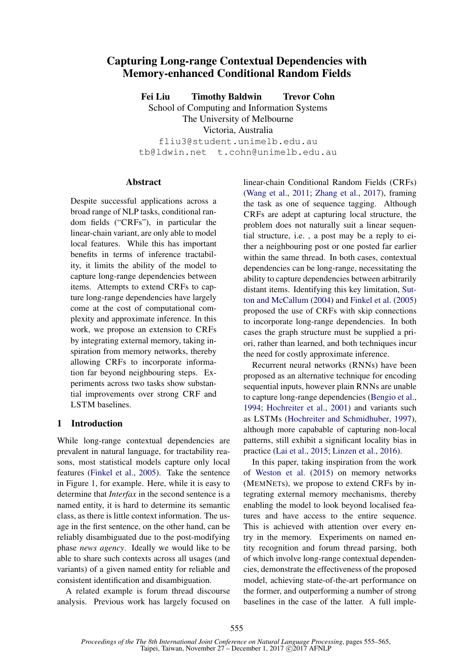# Capturing Long-range Contextual Dependencies with Memory-enhanced Conditional Random Fields

Fei Liu Timothy Baldwin Trevor Cohn School of Computing and Information Systems The University of Melbourne Victoria, Australia fliu3@student.unimelb.edu.au tb@ldwin.net t.cohn@unimelb.edu.au

# **Abstract**

Despite successful applications across a broad range of NLP tasks, conditional random fields ("CRFs"), in particular the linear-chain variant, are only able to model local features. While this has important benefits in terms of inference tractability, it limits the ability of the model to capture long-range dependencies between items. Attempts to extend CRFs to capture long-range dependencies have largely come at the cost of computational complexity and approximate inference. In this work, we propose an extension to CRFs by integrating external memory, taking inspiration from memory networks, thereby allowing CRFs to incorporate information far beyond neighbouring steps. Experiments across two tasks show substantial improvements over strong CRF and LSTM baselines.

# 1 Introduction

While long-range contextual dependencies are prevalent in natural language, for tractability reasons, most statistical models capture only local features (Finkel et al., 2005). Take the sentence in Figure 1, for example. Here, while it is easy to determine that *Interfax* in the second sentence is a named entity, it is hard to determine its semantic class, as there is little context information. The usage in the first sentence, on the other hand, can be reliably disambiguated due to the post-modifying phase *news agency*. Ideally we would like to be able to share such contexts across all usages (and variants) of a given named entity for reliable and consistent identification and disambiguation.

A related example is forum thread discourse analysis. Previous work has largely focused on linear-chain Conditional Random Fields (CRFs) (Wang et al., 2011; Zhang et al., 2017), framing the task as one of sequence tagging. Although CRFs are adept at capturing local structure, the problem does not naturally suit a linear sequential structure, i.e. , a post may be a reply to either a neighbouring post or one posted far earlier within the same thread. In both cases, contextual dependencies can be long-range, necessitating the ability to capture dependencies between arbitrarily distant items. Identifying this key limitation, Sutton and McCallum (2004) and Finkel et al. (2005) proposed the use of CRFs with skip connections to incorporate long-range dependencies. In both cases the graph structure must be supplied a priori, rather than learned, and both techniques incur the need for costly approximate inference.

Recurrent neural networks (RNNs) have been proposed as an alternative technique for encoding sequential inputs, however plain RNNs are unable to capture long-range dependencies (Bengio et al., 1994; Hochreiter et al., 2001) and variants such as LSTMs (Hochreiter and Schmidhuber, 1997), although more capabable of capturing non-local patterns, still exhibit a significant locality bias in practice (Lai et al., 2015; Linzen et al., 2016).

In this paper, taking inspiration from the work of Weston et al. (2015) on memory networks (MEMNETs), we propose to extend CRFs by integrating external memory mechanisms, thereby enabling the model to look beyond localised features and have access to the entire sequence. This is achieved with attention over every entry in the memory. Experiments on named entity recognition and forum thread parsing, both of which involve long-range contextual dependencies, demonstrate the effectiveness of the proposed model, achieving state-of-the-art performance on the former, and outperforming a number of strong baselines in the case of the latter. A full imple-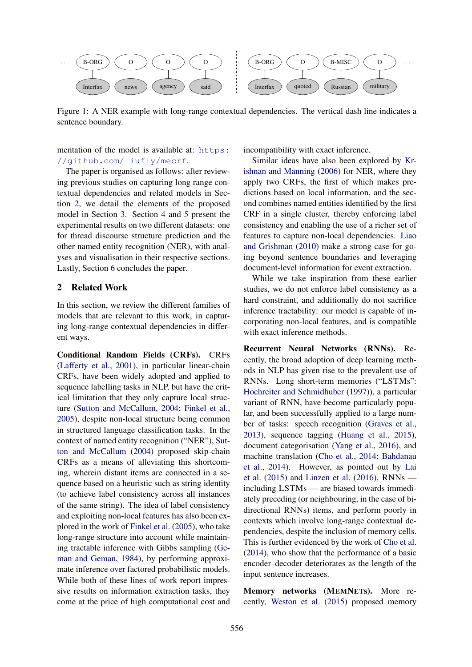

Figure 1: A NER example with long-range contextual dependencies. The vertical dash line indicates a sentence boundary.

mentation of the model is available at: https: //github.com/liufly/mecrf.

The paper is organised as follows: after reviewing previous studies on capturing long range contextual dependencies and related models in Section 2, we detail the elements of the proposed model in Section 3. Section 4 and 5 present the experimental results on two different datasets: one for thread discourse structure prediction and the other named entity recognition (NER), with analyses and visualisation in their respective sections. Lastly, Section 6 concludes the paper.

#### 2 Related Work

In this section, we review the different families of models that are relevant to this work, in capturing long-range contextual dependencies in different ways.

Conditional Random Fields (CRFs). CRFs (Lafferty et al., 2001), in particular linear-chain CRFs, have been widely adopted and applied to sequence labelling tasks in NLP, but have the critical limitation that they only capture local structure (Sutton and McCallum, 2004; Finkel et al., 2005), despite non-local structure being common in structured language classification tasks. In the context of named entity recognition ("NER"), Sutton and McCallum (2004) proposed skip-chain CRFs as a means of alleviating this shortcoming, wherein distant items are connected in a sequence based on a heuristic such as string identity (to achieve label consistency across all instances of the same string). The idea of label consistency and exploiting non-local features has also been explored in the work of Finkel et al. (2005), who take long-range structure into account while maintaining tractable inference with Gibbs sampling (Geman and Geman, 1984), by performing approximate inference over factored probabilistic models. While both of these lines of work report impressive results on information extraction tasks, they come at the price of high computational cost and

incompatibility with exact inference.

Similar ideas have also been explored by Krishnan and Manning (2006) for NER, where they apply two CRFs, the first of which makes predictions based on local information, and the second combines named entities identified by the first CRF in a single cluster, thereby enforcing label consistency and enabling the use of a richer set of features to capture non-local dependencies. Liao and Grishman (2010) make a strong case for going beyond sentence boundaries and leveraging document-level information for event extraction.

While we take inspiration from these earlier studies, we do not enforce label consistency as a hard constraint, and additionally do not sacrifice inference tractability: our model is capable of incorporating non-local features, and is compatible with exact inference methods.

Recurrent Neural Networks (RNNs). Recently, the broad adoption of deep learning methods in NLP has given rise to the prevalent use of RNNs. Long short-term memories ("LSTMs": Hochreiter and Schmidhuber (1997)), a particular variant of RNN, have become particularly popular, and been successfully applied to a large number of tasks: speech recognition (Graves et al., 2013), sequence tagging (Huang et al., 2015), document categorisation (Yang et al., 2016), and machine translation (Cho et al., 2014; Bahdanau et al., 2014). However, as pointed out by Lai et al. (2015) and Linzen et al. (2016), RNNs including LSTMs — are biased towards immediately preceding (or neighbouring, in the case of bidirectional RNNs) items, and perform poorly in contexts which involve long-range contextual dependencies, despite the inclusion of memory cells. This is further evidenced by the work of Cho et al. (2014), who show that the performance of a basic encoder–decoder deteriorates as the length of the input sentence increases.

Memory networks (MEMNETs). More recently, Weston et al. (2015) proposed memory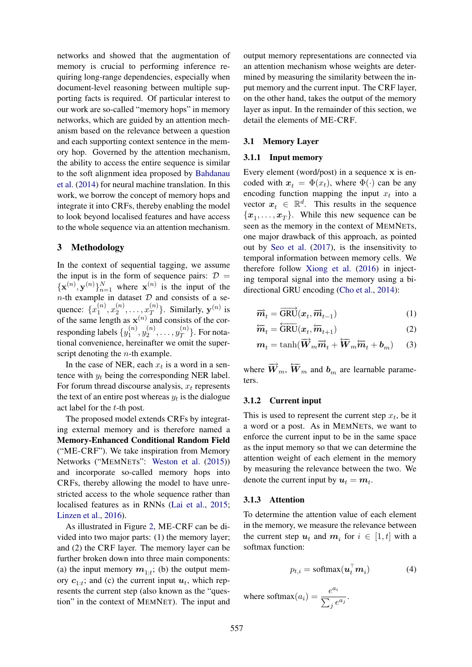networks and showed that the augmentation of memory is crucial to performing inference requiring long-range dependencies, especially when document-level reasoning between multiple supporting facts is required. Of particular interest to our work are so-called "memory hops" in memory networks, which are guided by an attention mechanism based on the relevance between a question and each supporting context sentence in the memory hop. Governed by the attention mechanism, the ability to access the entire sequence is similar to the soft alignment idea proposed by Bahdanau et al. (2014) for neural machine translation. In this work, we borrow the concept of memory hops and integrate it into CRFs, thereby enabling the model to look beyond localised features and have access to the whole sequence via an attention mechanism.

# 3 Methodology

In the context of sequential tagging, we assume the input is in the form of sequence pairs:  $\mathcal{D} =$  $\{ {\bf x}^{(n)}, {\bf y}^{(n)} \}_{n=1}^N$  where  ${\bf x}^{(n)}$  is the input of the  $n$ -th example in dataset  $D$  and consists of a sequence:  $\{x_1^{(n)}\}$  $\binom{n}{1}, x_2^{(n)}$  $x_2^{(n)},\ldots,x_T^{(n)}$  $_T^{(n)}$ }. Similarly,  $y^{(n)}$  is of the same length as  $x^{(n)}$  and consists of the corresponding labels  $\{y_1^{(n)}\}$  $\mathfrak{j}_{1}^{(n)},\mathfrak{y}_{2}^{(n)}$  $y_2^{(n)},\ldots,y_T^{(n)}$  $T^{(n)}$ . For notational convenience, hereinafter we omit the superscript denoting the  $n$ -th example.

In the case of NER, each  $x_t$  is a word in a sentence with  $y_t$  being the corresponding NER label. For forum thread discourse analysis,  $x_t$  represents the text of an entire post whereas  $y_t$  is the dialogue act label for the t-th post.

The proposed model extends CRFs by integrating external memory and is therefore named a Memory-Enhanced Conditional Random Field ("ME-CRF"). We take inspiration from Memory Networks ("MEMNETs": Weston et al. (2015)) and incorporate so-called memory hops into CRFs, thereby allowing the model to have unrestricted access to the whole sequence rather than localised features as in RNNs (Lai et al., 2015; Linzen et al., 2016).

As illustrated in Figure 2, ME-CRF can be divided into two major parts: (1) the memory layer; and (2) the CRF layer. The memory layer can be further broken down into three main components: (a) the input memory  $m_{1:t}$ ; (b) the output memory  $c_{1:t}$ ; and (c) the current input  $u_t$ , which represents the current step (also known as the "question" in the context of MEMNET). The input and

output memory representations are connected via an attention mechanism whose weights are determined by measuring the similarity between the input memory and the current input. The CRF layer, on the other hand, takes the output of the memory layer as input. In the remainder of this section, we detail the elements of ME-CRF.

#### 3.1 Memory Layer

#### 3.1.1 Input memory

Every element (word/post) in a sequence x is encoded with  $x_t = \Phi(x_t)$ , where  $\Phi(\cdot)$  can be any encoding function mapping the input  $x_t$  into a vector  $x_t \in \mathbb{R}^d$ . This results in the sequence  $\{x_1, \ldots, x_T\}$ . While this new sequence can be seen as the memory in the context of MEMNETs, one major drawback of this approach, as pointed out by Seo et al. (2017), is the insensitivity to temporal information between memory cells. We therefore follow Xiong et al. (2016) in injecting temporal signal into the memory using a bidirectional GRU encoding (Cho et al., 2014):

$$
\overrightarrow{\boldsymbol{m}}_t = \overrightarrow{\text{GRU}}(\boldsymbol{x}_t, \overrightarrow{\boldsymbol{m}}_{t-1})
$$
\n(1)

$$
\overleftarrow{\boldsymbol{m}}_t = \overleftarrow{\text{GRU}}(\boldsymbol{x}_t, \overleftarrow{\boldsymbol{m}}_{t+1})
$$
\n(2)

$$
\boldsymbol{m}_t = \tanh(\overrightarrow{\boldsymbol{W}}_m \overrightarrow{\boldsymbol{m}}_t + \overleftarrow{\boldsymbol{W}}_m \overleftarrow{\boldsymbol{m}}_t + \boldsymbol{b}_m) \qquad (3)
$$

where  $\overrightarrow{W}_m$ ,  $\overleftarrow{W}_m$  and  $\overrightarrow{b}_m$  are learnable parameters.

### 3.1.2 Current input

This is used to represent the current step  $x_t$ , be it a word or a post. As in MEMNETs, we want to enforce the current input to be in the same space as the input memory so that we can determine the attention weight of each element in the memory by measuring the relevance between the two. We denote the current input by  $u_t = m_t$ .

#### 3.1.3 Attention

To determine the attention value of each element in the memory, we measure the relevance between the current step  $u_t$  and  $m_i$  for  $i \in [1, t]$  with a softmax function:

$$
p_{t,i} = \text{softmax}(\boldsymbol{u}_t^\top \boldsymbol{m}_i) \tag{4}
$$

where softmax $(a_i) = \frac{e^{a_i}}{\sum_i}$  $\sum_{j}^{\circ} e^{a_j}$ .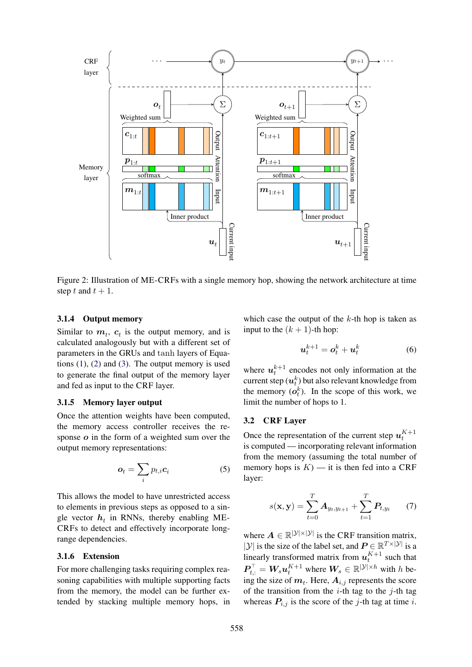

Figure 2: Illustration of ME-CRFs with a single memory hop, showing the network architecture at time step t and  $t + 1$ .

# 3.1.4 Output memory

Similar to  $m_t$ ,  $c_t$  is the output memory, and is calculated analogously but with a different set of parameters in the GRUs and tanh layers of Equations  $(1)$ ,  $(2)$  and  $(3)$ . The output memory is used to generate the final output of the memory layer and fed as input to the CRF layer.

# 3.1.5 Memory layer output

Once the attention weights have been computed, the memory access controller receives the response  $o$  in the form of a weighted sum over the output memory representations:

$$
\boldsymbol{o}_t = \sum_i p_{t,i} \boldsymbol{c}_i \tag{5}
$$

This allows the model to have unrestricted access to elements in previous steps as opposed to a single vector  $h_t$  in RNNs, thereby enabling ME-CRFs to detect and effectively incorporate longrange dependencies.

### 3.1.6 Extension

For more challenging tasks requiring complex reasoning capabilities with multiple supporting facts from the memory, the model can be further extended by stacking multiple memory hops, in which case the output of the  $k$ -th hop is taken as input to the  $(k + 1)$ -th hop:

$$
\boldsymbol{u}_t^{k+1} = \boldsymbol{o}_t^k + \boldsymbol{u}_t^k \tag{6}
$$

where  $u_t^{k+1}$  encodes not only information at the current step  $(\boldsymbol{u}^k_t)$  but also relevant knowledge from the memory  $(o_t^k)$ . In the scope of this work, we limit the number of hops to 1.

# 3.2 CRF Layer

Once the representation of the current step  $u_t^{K+1}$ is computed — incorporating relevant information from the memory (assuming the total number of memory hops is  $K$ ) — it is then fed into a CRF layer:

$$
s(\mathbf{x}, \mathbf{y}) = \sum_{t=0}^{T} A_{y_t, y_{t+1}} + \sum_{t=1}^{T} P_{t, y_t} \qquad (7)
$$

where  $A \in \mathbb{R}^{|\mathcal{Y}| \times |\mathcal{Y}|}$  is the CRF transition matrix,  $|\mathcal{Y}|$  is the size of the label set, and  $\mathbf{P} \in \mathbb{R}^{T \times |\mathcal{Y}|}$  is a linearly transformed matrix from  $u_t^{K+1}$  such that  $\boldsymbol{P}_{t,:}^{\top} = \boldsymbol{W}_{s} \boldsymbol{u}_{t}^{K+1}$  where  $\boldsymbol{W}_{s} \in \mathbb{R}^{|\mathcal{Y}| \times h}$  with h being the size of  $m_t$ . Here,  $A_{i,j}$  represents the score of the transition from the  $i$ -th tag to the  $j$ -th tag whereas  $P_{i,j}$  is the score of the j-th tag at time i.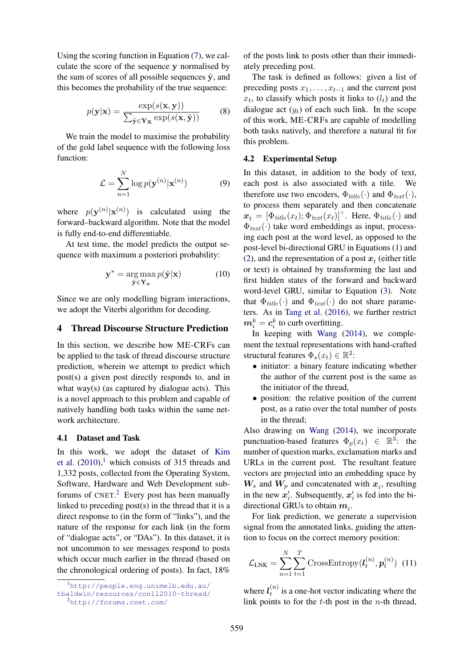Using the scoring function in Equation (7), we calculate the score of the sequence y normalised by the sum of scores of all possible sequences  $\tilde{y}$ , and this becomes the probability of the true sequence:

$$
p(\mathbf{y}|\mathbf{x}) = \frac{\exp(s(\mathbf{x}, \mathbf{y}))}{\sum_{\tilde{\mathbf{y}} \in \mathbf{Y}_{\mathbf{X}}} \exp(s(\mathbf{x}, \tilde{\mathbf{y}}))}
$$
(8)

We train the model to maximise the probability of the gold label sequence with the following loss function:

$$
\mathcal{L} = \sum_{n=1}^{N} \log p(\mathbf{y}^{(n)} | \mathbf{x}^{(n)})
$$
(9)

where  $p(\mathbf{y}^{(n)}|\mathbf{x}^{(n)})$  is calculated using the forward–backward algorithm. Note that the model is fully end-to-end differentiable.

At test time, the model predicts the output sequence with maximum a posteriori probability:

$$
\mathbf{y}^* = \arg\max_{\tilde{\mathbf{y}} \in \mathbf{Y}_\mathbf{x}} p(\tilde{\mathbf{y}}|\mathbf{x}) \tag{10}
$$

Since we are only modelling bigram interactions, we adopt the Viterbi algorithm for decoding.

# 4 Thread Discourse Structure Prediction

In this section, we describe how ME-CRFs can be applied to the task of thread discourse structure prediction, wherein we attempt to predict which post(s) a given post directly responds to, and in what way(s) (as captured by dialogue acts). This is a novel approach to this problem and capable of natively handling both tasks within the same network architecture.

### 4.1 Dataset and Task

In this work, we adopt the dataset of Kim et al.  $(2010)$ ,<sup>1</sup> which consists of 315 threads and 1,332 posts, collected from the Operating System, Software, Hardware and Web Development subforums of  $CNET.<sup>2</sup>$  Every post has been manually linked to preceding post(s) in the thread that it is a direct response to (in the form of "links"), and the nature of the response for each link (in the form of "dialogue acts", or "DAs"). In this dataset, it is not uncommon to see messages respond to posts which occur much earlier in the thread (based on the chronological ordering of posts). In fact, 18%

of the posts link to posts other than their immediately preceding post.

The task is defined as follows: given a list of preceding posts  $x_1, \ldots, x_{t-1}$  and the current post  $x_t$ , to classify which posts it links to  $(l_t)$  and the dialogue act  $(y_t)$  of each such link. In the scope of this work, ME-CRFs are capable of modelling both tasks natively, and therefore a natural fit for this problem.

#### 4.2 Experimental Setup

In this dataset, in addition to the body of text, each post is also associated with a title. We therefore use two encoders,  $\Phi_{title}(\cdot)$  and  $\Phi_{text}(\cdot)$ , to process them separately and then concatenate  $\mathbf{x}_t = [\Phi_{title}(x_t); \Phi_{text}(x_t)]^\top$ . Here,  $\Phi_{title}(\cdot)$  and  $\Phi_{text}(\cdot)$  take word embeddings as input, processing each post at the word level, as opposed to the post-level bi-directional GRU in Equations (1) and (2), and the representation of a post  $x_t$  (either title or text) is obtained by transforming the last and first hidden states of the forward and backward word-level GRU, similar to Equation (3). Note that  $\Phi_{title}(\cdot)$  and  $\Phi_{text}(\cdot)$  do not share parameters. As in Tang et al. (2016), we further restrict  $\boldsymbol{m}_i^k=\boldsymbol{c}_i^k$  to curb overfitting.

In keeping with Wang (2014), we complement the textual representations with hand-crafted structural features  $\Phi_s(x_t) \in \mathbb{R}^2$ :

- initiator: a binary feature indicating whether the author of the current post is the same as the initiator of the thread,
- position: the relative position of the current post, as a ratio over the total number of posts in the thread;

Also drawing on Wang (2014), we incorporate punctuation-based features  $\Phi_p(x_t) \in \mathbb{R}^3$ : the number of question marks, exclamation marks and URLs in the current post. The resultant feature vectors are projected into an embedding space by  $W_s$  and  $W_p$  and concatenated with  $x_i$ , resulting in the new  $x'_i$ . Subsequently,  $x'_i$  is fed into the bidirectional GRUs to obtain  $m_i$ .

For link prediction, we generate a supervision signal from the annotated links, guiding the attention to focus on the correct memory position:

$$
\mathcal{L}_{\text{LNK}} = \sum_{n=1}^{N} \sum_{t=1}^{T} \text{CrossEntropy}(\boldsymbol{l}_t^{(n)}, \boldsymbol{p}_t^{(n)}) \tag{11}
$$

where  $l_t^{(n)}$  $t_i^{(h)}$  is a one-hot vector indicating where the link points to for the  $t$ -th post in the  $n$ -th thread,

<sup>1</sup>http://people.eng.unimelb.edu.au/

tbaldwin/resources/conll2010-thread/

<sup>2</sup>http://forums.cnet.com/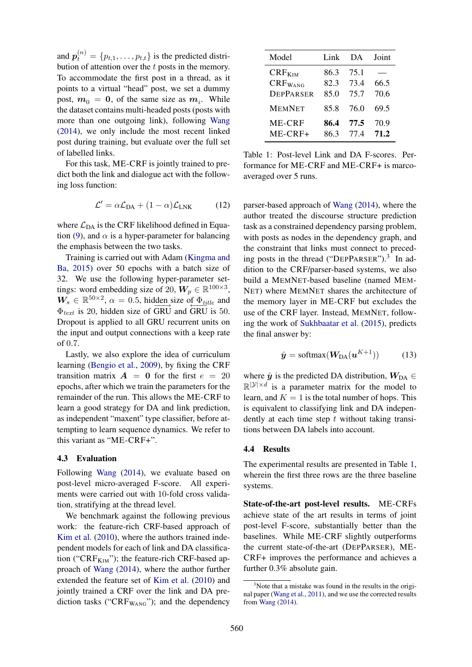and  $p_t^{(n)} = \{p_{t,1}, \ldots, p_{t,t}\}\$ is the predicted distribution of attention over the t posts in the memory. To accommodate the first post in a thread, as it points to a virtual "head" post, we set a dummy post,  $m_0 = 0$ , of the same size as  $m_i$ . While the dataset contains multi-headed posts (posts with more than one outgoing link), following Wang (2014), we only include the most recent linked post during training, but evaluate over the full set of labelled links.

For this task, ME-CRF is jointly trained to predict both the link and dialogue act with the following loss function:

$$
\mathcal{L}' = \alpha \mathcal{L}_{DA} + (1 - \alpha) \mathcal{L}_{LNK} \tag{12}
$$

where  $\mathcal{L}_{DA}$  is the CRF likelihood defined in Equation (9), and  $\alpha$  is a hyper-parameter for balancing the emphasis between the two tasks.

Training is carried out with Adam (Kingma and Ba, 2015) over 50 epochs with a batch size of 32. We use the following hyper-parameter settings: word embedding size of 20,  $W_p \in \mathbb{R}^{100 \times 3}$ ,  $W_s \in \mathbb{R}^{50 \times 2}$ ,  $\alpha = 0.5$ , hidden size of  $\Phi_{title}$  and  $\Phi_{text}$  is 20, hidden size of GRU and GRU is 50. Dropout is applied to all GRU recurrent units on the input and output connections with a keep rate of 0.7.

Lastly, we also explore the idea of curriculum learning (Bengio et al., 2009), by fixing the CRF transition matrix  $\mathbf{A} = \mathbf{0}$  for the first  $e = 20$ epochs, after which we train the parameters for the remainder of the run. This allows the ME-CRF to learn a good strategy for DA and link prediction, as independent "maxent" type classifier, before attempting to learn sequence dynamics. We refer to this variant as "ME-CRF+".

### 4.3 Evaluation

Following Wang (2014), we evaluate based on post-level micro-averaged F-score. All experiments were carried out with 10-fold cross validation, stratifying at the thread level.

We benchmark against the following previous work: the feature-rich CRF-based approach of Kim et al. (2010), where the authors trained independent models for each of link and DA classification (" $CRF_{KIM}$ "); the feature-rich CRF-based approach of Wang (2014), where the author further extended the feature set of Kim et al. (2010) and jointly trained a CRF over the link and DA prediction tasks (" $CRF_{WANG}$ "); and the dependency

| Model                                           | Link                 | DA.                  | Joint        |
|-------------------------------------------------|----------------------|----------------------|--------------|
| $CRF_{KIM}$<br>$CRF_{WANG}$<br><b>DEPPARSER</b> | 86.3<br>82.3<br>85.0 | 75.1<br>73.4<br>75.7 | 66.5<br>70.6 |
| <b>MEMNET</b>                                   | 85.8                 | 76.0                 | 69.5         |
| ME-CRF<br>ME-CRF+                               | 86.4<br>86.3         | 77.5<br>77.4         | 70.9<br>71.2 |

Table 1: Post-level Link and DA F-scores. Performance for ME-CRF and ME-CRF+ is marcoaveraged over 5 runs.

parser-based approach of Wang (2014), where the author treated the discourse structure prediction task as a constrained dependency parsing problem, with posts as nodes in the dependency graph, and the constraint that links must connect to preceding posts in the thread ("DEPPARSER").<sup>3</sup> In addition to the CRF/parser-based systems, we also build a MEMNET-based baseline (named MEM-NET) where MEMNET shares the architecture of the memory layer in ME-CRF but excludes the use of the CRF layer. Instead, MEMNET, following the work of Sukhbaatar et al. (2015), predicts the final answer by:

$$
\hat{\mathbf{y}} = \text{softmax}(\mathbf{W}_{\text{DA}}(\mathbf{u}^{K+1})) \quad (13)
$$

where  $\hat{y}$  is the predicted DA distribution,  $W_{DA} \in$  $\mathbb{R}^{|\mathcal{Y}| \times d}$  is a parameter matrix for the model to learn, and  $K = 1$  is the total number of hops. This is equivalent to classifying link and DA independently at each time step  $t$  without taking transitions between DA labels into account.

## 4.4 Results

The experimental results are presented in Table 1, wherein the first three rows are the three baseline systems.

State-of-the-art post-level results. ME-CRFs achieve state of the art results in terms of joint post-level F-score, substantially better than the baselines. While ME-CRF slightly outperforms the current state-of-the-art (DEPPARSER), ME-CRF+ improves the performance and achieves a further 0.3% absolute gain.

 $3$ Note that a mistake was found in the results in the original paper (Wang et al., 2011), and we use the corrected results from Wang (2014).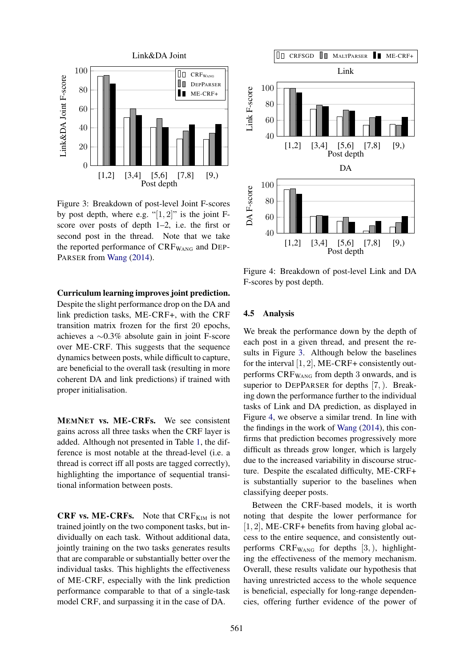

Figure 3: Breakdown of post-level Joint F-scores by post depth, where e.g. " $[1, 2]$ " is the joint Fscore over posts of depth 1–2, i.e. the first or second post in the thread. Note that we take the reported performance of  $CRF_{WANG}$  and DEP-PARSER from Wang (2014).

# Curriculum learning improves joint prediction.

Despite the slight performance drop on the DA and link prediction tasks, ME-CRF+, with the CRF transition matrix frozen for the first 20 epochs, achieves a ∼0.3% absolute gain in joint F-score over ME-CRF. This suggests that the sequence dynamics between posts, while difficult to capture, are beneficial to the overall task (resulting in more coherent DA and link predictions) if trained with proper initialisation.

MEMNET vs. ME-CRFs. We see consistent gains across all three tasks when the CRF layer is added. Although not presented in Table 1, the difference is most notable at the thread-level (i.e. a thread is correct iff all posts are tagged correctly), highlighting the importance of sequential transitional information between posts.

**CRF vs. ME-CRFs.** Note that  $\text{CRF}_{\text{KIM}}$  is not trained jointly on the two component tasks, but individually on each task. Without additional data, jointly training on the two tasks generates results that are comparable or substantially better over the individual tasks. This highlights the effectiveness of ME-CRF, especially with the link prediction performance comparable to that of a single-task model CRF, and surpassing it in the case of DA.



Figure 4: Breakdown of post-level Link and DA F-scores by post depth.

# 4.5 Analysis

We break the performance down by the depth of each post in a given thread, and present the results in Figure 3. Although below the baselines for the interval  $[1, 2]$ , ME-CRF+ consistently outperforms CRFWANG from depth 3 onwards, and is superior to DEPPARSER for depths [7, ). Breaking down the performance further to the individual tasks of Link and DA prediction, as displayed in Figure 4, we observe a similar trend. In line with the findings in the work of Wang (2014), this confirms that prediction becomes progressively more difficult as threads grow longer, which is largely due to the increased variability in discourse structure. Despite the escalated difficulty, ME-CRF+ is substantially superior to the baselines when classifying deeper posts.

Between the CRF-based models, it is worth noting that despite the lower performance for [1, 2], ME-CRF+ benefits from having global access to the entire sequence, and consistently outperforms  $CRF_{WANG}$  for depths  $[3,),$  highlighting the effectiveness of the memory mechanism. Overall, these results validate our hypothesis that having unrestricted access to the whole sequence is beneficial, especially for long-range dependencies, offering further evidence of the power of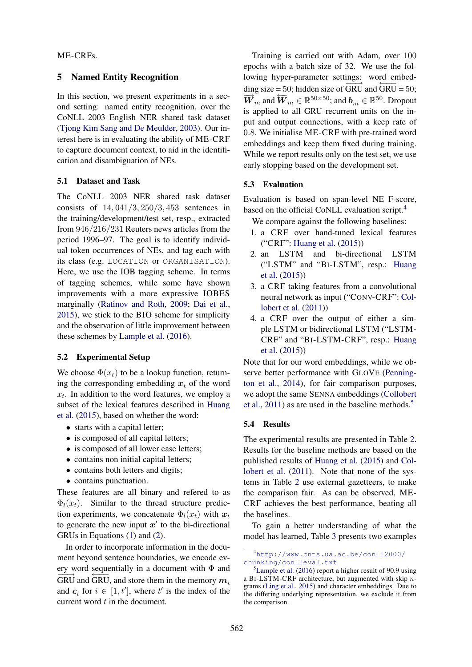# ME-CRFs.

### 5 Named Entity Recognition

In this section, we present experiments in a second setting: named entity recognition, over the CoNLL 2003 English NER shared task dataset (Tjong Kim Sang and De Meulder, 2003). Our interest here is in evaluating the ability of ME-CRF to capture document context, to aid in the identification and disambiguation of NEs.

### 5.1 Dataset and Task

The CoNLL 2003 NER shared task dataset consists of  $14, 041/3, 250/3, 453$  sentences in the training/development/test set, resp., extracted from 946/216/231 Reuters news articles from the period 1996–97. The goal is to identify individual token occurrences of NEs, and tag each with its class (e.g. LOCATION or ORGANISATION). Here, we use the IOB tagging scheme. In terms of tagging schemes, while some have shown improvements with a more expressive IOBES marginally (Ratinov and Roth, 2009; Dai et al., 2015), we stick to the BIO scheme for simplicity and the observation of little improvement between these schemes by Lample et al. (2016).

#### 5.2 Experimental Setup

We choose  $\Phi(x_t)$  to be a lookup function, returning the corresponding embedding  $x_t$  of the word  $x_t$ . In addition to the word features, we employ a subset of the lexical features described in Huang et al. (2015), based on whether the word:

- starts with a capital letter;
- is composed of all capital letters;
- is composed of all lower case letters;
- contains non initial capital letters;
- contains both letters and digits;
- contains punctuation.

These features are all binary and refered to as  $\Phi_l(x_t)$ . Similar to the thread structure prediction experiments, we concatenate  $\Phi_l(x_t)$  with  $x_t$ to generate the new input  $x'$  to the bi-directional GRUs in Equations (1) and (2).

In order to incorporate information in the document beyond sentence boundaries, we encode every word sequentially in a document with  $\Phi$  and  $\overrightarrow{GRU}$  and  $\overleftarrow{GRU}$ , and store them in the memory  $m_i$ and  $c_i$  for  $i \in [1, t']$ , where  $t'$  is the index of the current word  $t$  in the document.

Training is carried out with Adam, over 100 epochs with a batch size of 32. We use the following hyper-parameter settings: word embedding size = 50; hidden size of  $\overrightarrow{GRU}$  and  $\overleftarrow{GRU}$  = 50;  $\overrightarrow{W}_m$  and  $\overleftarrow{W}_m \in \mathbb{R}^{50 \times 50}$ ; and  $b_m \in \mathbb{R}^{50}$ . Dropout is applied to all GRU recurrent units on the input and output connections, with a keep rate of 0.8. We initialise ME-CRF with pre-trained word embeddings and keep them fixed during training. While we report results only on the test set, we use early stopping based on the development set.

#### 5.3 Evaluation

Evaluation is based on span-level NE F-score, based on the official CoNLL evaluation script.<sup>4</sup>

We compare against the following baselines:

- 1. a CRF over hand-tuned lexical features ("CRF": Huang et al. (2015))
- 2. an LSTM and bi-directional LSTM ("LSTM" and "BI-LSTM", resp.: Huang et al. (2015))
- 3. a CRF taking features from a convolutional neural network as input ("CONV-CRF": Collobert et al. (2011))
- 4. a CRF over the output of either a simple LSTM or bidirectional LSTM ("LSTM-CRF" and "BI-LSTM-CRF", resp.: Huang et al. (2015))

Note that for our word embeddings, while we observe better performance with GLOVE (Pennington et al., 2014), for fair comparison purposes, we adopt the same SENNA embeddings (Collobert et al.,  $2011$ ) as are used in the baseline methods.<sup>5</sup>

#### 5.4 Results

The experimental results are presented in Table 2. Results for the baseline methods are based on the published results of Huang et al. (2015) and Collobert et al. (2011). Note that none of the systems in Table 2 use external gazetteers, to make the comparison fair. As can be observed, ME-CRF achieves the best performance, beating all the baselines.

To gain a better understanding of what the model has learned, Table 3 presents two examples

<sup>4</sup>http://www.cnts.ua.ac.be/conll2000/ chunking/conlleval.txt

<sup>5</sup>Lample et al. (2016) report a higher result of 90.9 using a BI-LSTM-CRF architecture, but augmented with skip ngrams (Ling et al., 2015) and character embeddings. Due to the differing underlying representation, we exclude it from the comparison.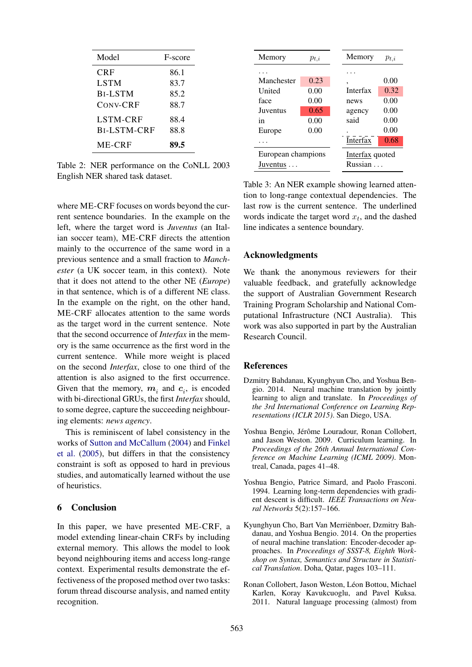| Model              | F-score |  |
|--------------------|---------|--|
| <b>CRF</b>         | 86.1    |  |
| <b>LSTM</b>        | 83.7    |  |
| <b>BI-LSTM</b>     | 85.2    |  |
| CONV-CRF           | 88.7    |  |
| <b>LSTM-CRF</b>    | 88.4    |  |
| <b>BI-LSTM-CRF</b> | 88.8    |  |
| ME-CRF             | 89.5    |  |

Table 2: NER performance on the CoNLL 2003 English NER shared task dataset.

where ME-CRF focuses on words beyond the current sentence boundaries. In the example on the left, where the target word is *Juventus* (an Italian soccer team), ME-CRF directs the attention mainly to the occurrence of the same word in a previous sentence and a small fraction to *Manchester* (a UK soccer team, in this context). Note that it does not attend to the other NE (*Europe*) in that sentence, which is of a different NE class. In the example on the right, on the other hand, ME-CRF allocates attention to the same words as the target word in the current sentence. Note that the second occurrence of *Interfax* in the memory is the same occurrence as the first word in the current sentence. While more weight is placed on the second *Interfax*, close to one third of the attention is also asigned to the first occurrence. Given that the memory,  $m_i$  and  $c_i$ , is encoded with bi-directional GRUs, the first *Interfax* should, to some degree, capture the succeeding neighbouring elements: *news agency*.

This is reminiscent of label consistency in the works of Sutton and McCallum (2004) and Finkel et al. (2005), but differs in that the consistency constraint is soft as opposed to hard in previous studies, and automatically learned without the use of heuristics.

# 6 Conclusion

In this paper, we have presented ME-CRF, a model extending linear-chain CRFs by including external memory. This allows the model to look beyond neighbouring items and access long-range context. Experimental results demonstrate the effectiveness of the proposed method over two tasks: forum thread discourse analysis, and named entity recognition.

| Memory                         | $p_{t,i}$ |                            | Memory   | $p_{t,i}$ |
|--------------------------------|-----------|----------------------------|----------|-----------|
|                                |           |                            |          |           |
| Manchester                     | 0.23      |                            | ٠        | 0.00      |
| United                         | 0.00      |                            | Interfax | 0.32      |
| face                           | 0.00      |                            | news     | 0.00      |
| Juventus                       | 0.65      |                            | agency   | 0.00      |
| in                             | 0.00      |                            | said     | 0.00      |
| Europe                         | 0.00      |                            |          | 0.00      |
|                                |           |                            | Interfax | 0.68      |
| European champions<br>Juventus |           | Interfax quoted<br>Russian |          |           |

Table 3: An NER example showing learned attention to long-range contextual dependencies. The last row is the current sentence. The underlined words indicate the target word  $x_t$ , and the dashed line indicates a sentence boundary.

## Acknowledgments

We thank the anonymous reviewers for their valuable feedback, and gratefully acknowledge the support of Australian Government Research Training Program Scholarship and National Computational Infrastructure (NCI Australia). This work was also supported in part by the Australian Research Council.

#### References

- Dzmitry Bahdanau, Kyunghyun Cho, and Yoshua Bengio. 2014. Neural machine translation by jointly learning to align and translate. In *Proceedings of the 3rd International Conference on Learning Representations (ICLR 2015)*. San Diego, USA.
- Yoshua Bengio, Jérôme Louradour, Ronan Collobert, and Jason Weston. 2009. Curriculum learning. In *Proceedings of the 26th Annual International Conference on Machine Learning (ICML 2009)*. Montreal, Canada, pages 41–48.
- Yoshua Bengio, Patrice Simard, and Paolo Frasconi. 1994. Learning long-term dependencies with gradient descent is difficult. *IEEE Transactions on Neural Networks* 5(2):157–166.
- Kyunghyun Cho, Bart Van Merrienboer, Dzmitry Bah- ¨ danau, and Yoshua Bengio. 2014. On the properties of neural machine translation: Encoder-decoder approaches. In *Proceedings of SSST-8, Eighth Workshop on Syntax, Semantics and Structure in Statistical Translation*. Doha, Qatar, pages 103–111.
- Ronan Collobert, Jason Weston, Léon Bottou, Michael Karlen, Koray Kavukcuoglu, and Pavel Kuksa. 2011. Natural language processing (almost) from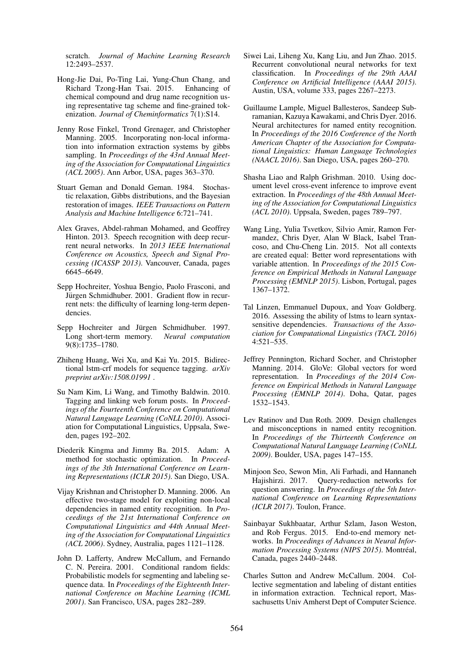scratch. *Journal of Machine Learning Research* 12:2493–2537.

- Hong-Jie Dai, Po-Ting Lai, Yung-Chun Chang, and Richard Tzong-Han Tsai. 2015. Enhancing of chemical compound and drug name recognition using representative tag scheme and fine-grained tokenization. *Journal of Cheminformatics* 7(1):S14.
- Jenny Rose Finkel, Trond Grenager, and Christopher Manning. 2005. Incorporating non-local information into information extraction systems by gibbs sampling. In *Proceedings of the 43rd Annual Meeting of the Association for Computational Linguistics (ACL 2005)*. Ann Arbor, USA, pages 363–370.
- Stuart Geman and Donald Geman. 1984. Stochastic relaxation, Gibbs distributions, and the Bayesian restoration of images. *IEEE Transactions on Pattern Analysis and Machine Intelligence* 6:721–741.
- Alex Graves, Abdel-rahman Mohamed, and Geoffrey Hinton. 2013. Speech recognition with deep recurrent neural networks. In *2013 IEEE International Conference on Acoustics, Speech and Signal Processing (ICASSP 2013)*. Vancouver, Canada, pages 6645–6649.
- Sepp Hochreiter, Yoshua Bengio, Paolo Frasconi, and Jürgen Schmidhuber. 2001. Gradient flow in recurrent nets: the difficulty of learning long-term dependencies.
- Sepp Hochreiter and Jürgen Schmidhuber. 1997. Long short-term memory. *Neural computation* 9(8):1735–1780.
- Zhiheng Huang, Wei Xu, and Kai Yu. 2015. Bidirectional lstm-crf models for sequence tagging. *arXiv preprint arXiv:1508.01991* .
- Su Nam Kim, Li Wang, and Timothy Baldwin. 2010. Tagging and linking web forum posts. In *Proceedings of the Fourteenth Conference on Computational Natural Language Learning (CoNLL 2010)*. Association for Computational Linguistics, Uppsala, Sweden, pages 192–202.
- Diederik Kingma and Jimmy Ba. 2015. Adam: A method for stochastic optimization. In *Proceedings of the 3th International Conference on Learning Representations (ICLR 2015)*. San Diego, USA.
- Vijay Krishnan and Christopher D. Manning. 2006. An effective two-stage model for exploiting non-local dependencies in named entity recognition. In *Proceedings of the 21st International Conference on Computational Linguistics and 44th Annual Meeting of the Association for Computational Linguistics (ACL 2006)*. Sydney, Australia, pages 1121–1128.
- John D. Lafferty, Andrew McCallum, and Fernando C. N. Pereira. 2001. Conditional random fields: Probabilistic models for segmenting and labeling sequence data. In *Proceedings of the Eighteenth International Conference on Machine Learning (ICML 2001)*. San Francisco, USA, pages 282–289.
- Siwei Lai, Liheng Xu, Kang Liu, and Jun Zhao. 2015. Recurrent convolutional neural networks for text classification. In *Proceedings of the 29th AAAI Conference on Artificial Intelligence (AAAI 2015)*. Austin, USA, volume 333, pages 2267–2273.
- Guillaume Lample, Miguel Ballesteros, Sandeep Subramanian, Kazuya Kawakami, and Chris Dyer. 2016. Neural architectures for named entity recognition. In *Proceedings of the 2016 Conference of the North American Chapter of the Association for Computational Linguistics: Human Language Technologies (NAACL 2016)*. San Diego, USA, pages 260–270.
- Shasha Liao and Ralph Grishman. 2010. Using document level cross-event inference to improve event extraction. In *Proceedings of the 48th Annual Meeting of the Association for Computational Linguistics (ACL 2010)*. Uppsala, Sweden, pages 789–797.
- Wang Ling, Yulia Tsvetkov, Silvio Amir, Ramon Fermandez, Chris Dyer, Alan W Black, Isabel Trancoso, and Chu-Cheng Lin. 2015. Not all contexts are created equal: Better word representations with variable attention. In *Proceedings of the 2015 Conference on Empirical Methods in Natural Language Processing (EMNLP 2015)*. Lisbon, Portugal, pages 1367–1372.
- Tal Linzen, Emmanuel Dupoux, and Yoav Goldberg. 2016. Assessing the ability of lstms to learn syntaxsensitive dependencies. *Transactions of the Association for Computational Linguistics (TACL 2016)* 4:521–535.
- Jeffrey Pennington, Richard Socher, and Christopher Manning. 2014. GloVe: Global vectors for word representation. In *Proceedings of the 2014 Conference on Empirical Methods in Natural Language Processing (EMNLP 2014)*. Doha, Qatar, pages 1532–1543.
- Lev Ratinov and Dan Roth. 2009. Design challenges and misconceptions in named entity recognition. In *Proceedings of the Thirteenth Conference on Computational Natural Language Learning (CoNLL 2009)*. Boulder, USA, pages 147–155.
- Minjoon Seo, Sewon Min, Ali Farhadi, and Hannaneh Hajishirzi. 2017. Query-reduction networks for question answering. In *Proceedings of the 5th International Conference on Learning Representations (ICLR 2017)*. Toulon, France.
- Sainbayar Sukhbaatar, Arthur Szlam, Jason Weston, and Rob Fergus. 2015. End-to-end memory networks. In *Proceedings of Advances in Neural Information Processing Systems (NIPS 2015)*. Montréal, Canada, pages 2440–2448.
- Charles Sutton and Andrew McCallum. 2004. Collective segmentation and labeling of distant entities in information extraction. Technical report, Massachusetts Univ Amherst Dept of Computer Science.